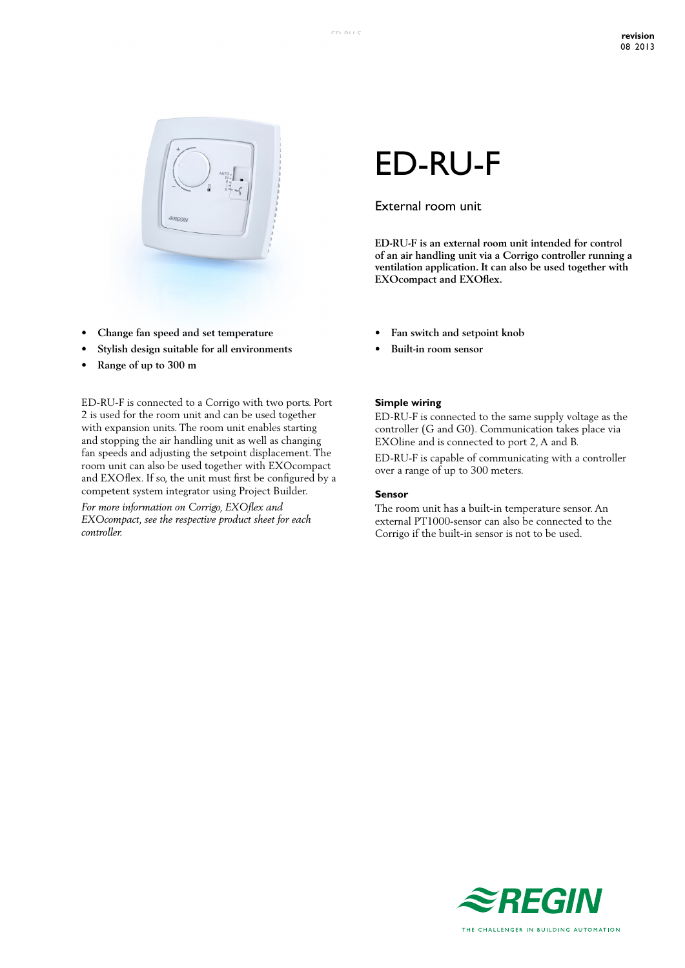

- **• Change fan speed and set temperature**
- **• Stylish design suitable for all environments**
- **• Range of up to 300 m**

ED-RU-F is connected to a Corrigo with two ports. Port 2 is used for the room unit and can be used together with expansion units. The room unit enables starting and stopping the air handling unit as well as changing fan speeds and adjusting the setpoint displacement. The room unit can also be used together with EXOcompact and EXOflex. If so, the unit must first be configured by a competent system integrator using Project Builder.

*For more information on Corrigo, EXOflex and EXOcompact, see the respective product sheet for each controller.*

# ED-RU-F

## External room unit

**ED-RU-F is an external room unit intended for control of an air handling unit via a Corrigo controller running a ventilation application. It can also be used together with EXOcompact and EXOflex.**

- **• Fan switch and setpoint knob**
- **• Built-in room sensor**

#### **Simple wiring**

ED-RU-F is connected to the same supply voltage as the controller (G and G0). Communication takes place via EXOline and is connected to port 2, A and B.

ED-RU-F is capable of communicating with a controller over a range of up to 300 meters.

#### **Sensor**

The room unit has a built-in temperature sensor. An external PT1000-sensor can also be connected to the Corrigo if the built-in sensor is not to be used.

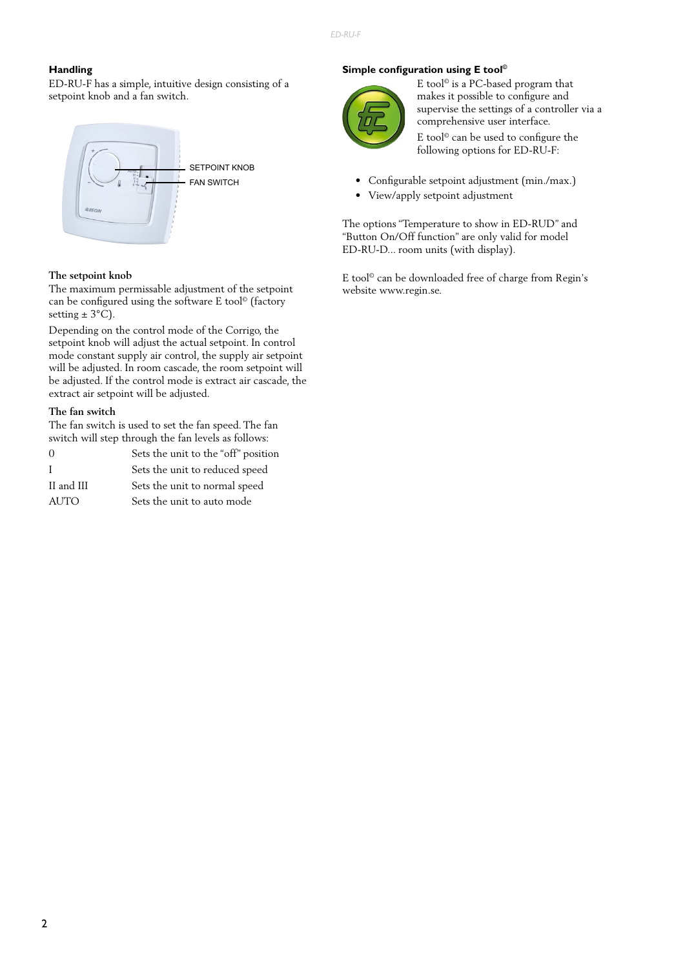#### **Handling**

ED-RU-F has a simple, intuitive design consisting of a setpoint knob and a fan switch.



#### **The setpoint knob**

The maximum permissable adjustment of the setpoint can be configured using the software E tool© (factory setting  $\pm$  3°C).

Depending on the control mode of the Corrigo, the setpoint knob will adjust the actual setpoint. In control mode constant supply air control, the supply air setpoint will be adjusted. In room cascade, the room setpoint will be adjusted. If the control mode is extract air cascade, the extract air setpoint will be adjusted.

#### **The fan switch**

The fan switch is used to set the fan speed. The fan switch will step through the fan levels as follows:

| $\Omega$    | Sets the unit to the "off" position |
|-------------|-------------------------------------|
| Ι.          | Sets the unit to reduced speed      |
| II and III  | Sets the unit to normal speed       |
| <b>AUTO</b> | Sets the unit to auto mode          |

#### **Simple configuration using E tool©**



E tool© is a PC-based program that makes it possible to configure and supervise the settings of a controller via a comprehensive user interface.

E tool© can be used to configure the following options for ED-RU-F:

- Configurable setpoint adjustment (min./max.)
- View/apply setpoint adjustment

The options "Temperature to show in ED-RUD" and "Button On/Off function" are only valid for model ED-RU-D... room units (with display).

E tool© can be downloaded free of charge from Regin's website www.regin.se.